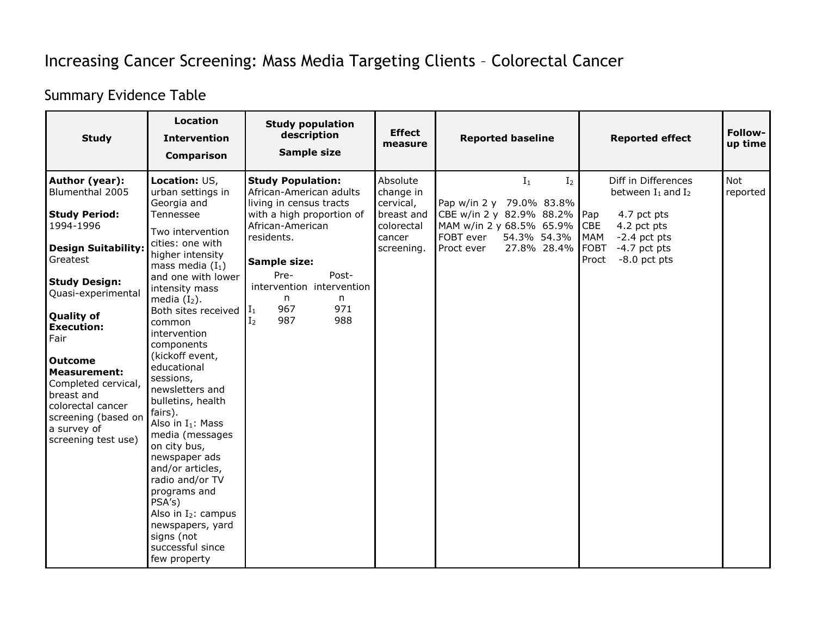## Increasing Cancer Screening: Mass Media Targeting Clients – Colorectal Cancer

## Summary Evidence Table

| <b>Study</b>                                                                                                                                                                                                                                                                                                                                                                     | <b>Location</b><br><b>Intervention</b><br>Comparison                                                                                                                                                                                                                                                                                                                                                                                                                                                                                                                                                                               | <b>Study population</b><br>description<br>Sample size                                                                                                                                                                                                                                  | <b>Effect</b><br>measure                                                               | <b>Reported baseline</b>                                                                                                                                                 | <b>Reported effect</b>                                                                                                                                                   | Follow-<br>up time |
|----------------------------------------------------------------------------------------------------------------------------------------------------------------------------------------------------------------------------------------------------------------------------------------------------------------------------------------------------------------------------------|------------------------------------------------------------------------------------------------------------------------------------------------------------------------------------------------------------------------------------------------------------------------------------------------------------------------------------------------------------------------------------------------------------------------------------------------------------------------------------------------------------------------------------------------------------------------------------------------------------------------------------|----------------------------------------------------------------------------------------------------------------------------------------------------------------------------------------------------------------------------------------------------------------------------------------|----------------------------------------------------------------------------------------|--------------------------------------------------------------------------------------------------------------------------------------------------------------------------|--------------------------------------------------------------------------------------------------------------------------------------------------------------------------|--------------------|
| Author (year):<br>Blumenthal 2005<br><b>Study Period:</b><br>1994-1996<br><b>Design Suitability:</b><br>Greatest<br><b>Study Design:</b><br>Quasi-experimental<br><b>Quality of</b><br><b>Execution:</b><br>Fair<br><b>Outcome</b><br><b>Measurement:</b><br>Completed cervical,<br>breast and<br>colorectal cancer<br>screening (based on<br>a survey of<br>screening test use) | Location: US,<br>urban settings in<br>Georgia and<br>Tennessee<br>Two intervention<br>cities: one with<br>higher intensity<br>mass media $(I_1)$<br>and one with lower<br>intensity mass<br>media $(I_2)$ .<br>Both sites received<br>common<br>intervention<br>components<br>(kickoff event,<br>educational<br>sessions,<br>newsletters and<br>bulletins, health<br>fairs).<br>Also in $I_1$ : Mass<br>media (messages<br>on city bus,<br>newspaper ads<br>and/or articles,<br>radio and/or TV<br>programs and<br>PSA's)<br>Also in I <sub>2</sub> : campus<br>newspapers, yard<br>signs (not<br>successful since<br>few property | <b>Study Population:</b><br>African-American adults<br>living in census tracts<br>with a high proportion of<br>African-American<br>residents.<br>Sample size:<br>Pre-<br>Post-<br>intervention intervention<br>n<br>n<br>967<br>971<br>II <sub>1</sub><br>987<br>988<br>I <sub>2</sub> | Absolute<br>change in<br>cervical,<br>breast and<br>colorectal<br>cancer<br>screening. | $I_1$<br>I <sub>2</sub><br>Pap w/in 2 y 79.0% 83.8%<br>CBE w/in 2 y 82.9% 88.2%<br>MAM w/in 2 y 68.5% 65.9% CBE<br>FOBT ever<br>54.3% 54.3%<br>27.8% 28.4%<br>Proct ever | Diff in Differences<br>between $I_1$ and $I_2$<br>Pap<br>4.7 pct pts<br>4.2 pct pts<br>MAM<br>$-2.4$ pct pts<br><b>FOBT</b><br>$-4.7$ pct pts<br>$-8.0$ pct pts<br>Proct | Not<br>reported    |